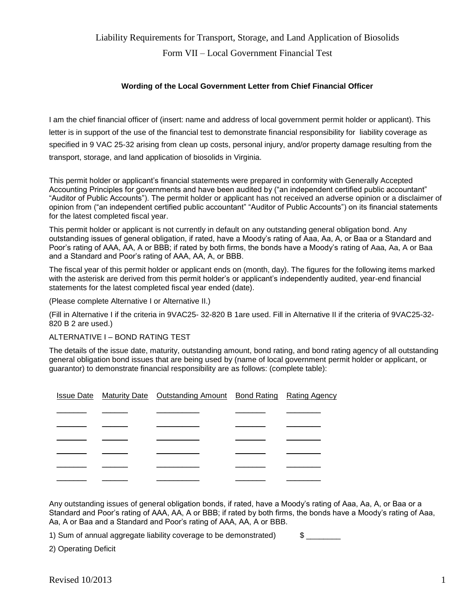# Liability Requirements for Transport, Storage, and Land Application of Biosolids Form VII – Local Government Financial Test

#### **Wording of the Local Government Letter from Chief Financial Officer**

I am the chief financial officer of (insert: name and address of local government permit holder or applicant). This letter is in support of the use of the financial test to demonstrate financial responsibility for liability coverage as specified in 9 VAC 25-32 arising from clean up costs, personal injury, and/or property damage resulting from the transport, storage, and land application of biosolids in Virginia.

This permit holder or applicant's financial statements were prepared in conformity with Generally Accepted Accounting Principles for governments and have been audited by ("an independent certified public accountant" "Auditor of Public Accounts"). The permit holder or applicant has not received an adverse opinion or a disclaimer of opinion from ("an independent certified public accountant" "Auditor of Public Accounts") on its financial statements for the latest completed fiscal year.

This permit holder or applicant is not currently in default on any outstanding general obligation bond. Any outstanding issues of general obligation, if rated, have a Moody's rating of Aaa, Aa, A, or Baa or a Standard and Poor's rating of AAA, AA, A or BBB; if rated by both firms, the bonds have a Moody's rating of Aaa, Aa, A or Baa and a Standard and Poor's rating of AAA, AA, A, or BBB.

The fiscal year of this permit holder or applicant ends on (month, day). The figures for the following items marked with the asterisk are derived from this permit holder's or applicant's independently audited, year-end financial statements for the latest completed fiscal year ended (date).

(Please complete Alternative I or Alternative II.)

(Fill in Alternative I if the criteria in 9VAC25- 32-820 B 1are used. Fill in Alternative II if the criteria of 9VAC25-32- 820 B 2 are used.)

#### ALTERNATIVE I – BOND RATING TEST

The details of the issue date, maturity, outstanding amount, bond rating, and bond rating agency of all outstanding general obligation bond issues that are being used by (name of local government permit holder or applicant, or guarantor) to demonstrate financial responsibility are as follows: (complete table):

|  | <b>Issue Date</b> Maturity Date Outstanding Amount Bond Rating Rating Agency |  |
|--|------------------------------------------------------------------------------|--|
|  |                                                                              |  |
|  |                                                                              |  |
|  |                                                                              |  |
|  |                                                                              |  |
|  |                                                                              |  |
|  |                                                                              |  |

Any outstanding issues of general obligation bonds, if rated, have a Moody's rating of Aaa, Aa, A, or Baa or a Standard and Poor's rating of AAA, AA, A or BBB; if rated by both firms, the bonds have a Moody's rating of Aaa, Aa, A or Baa and a Standard and Poor's rating of AAA, AA, A or BBB.

1) Sum of annual aggregate liability coverage to be demonstrated) \$

2) Operating Deficit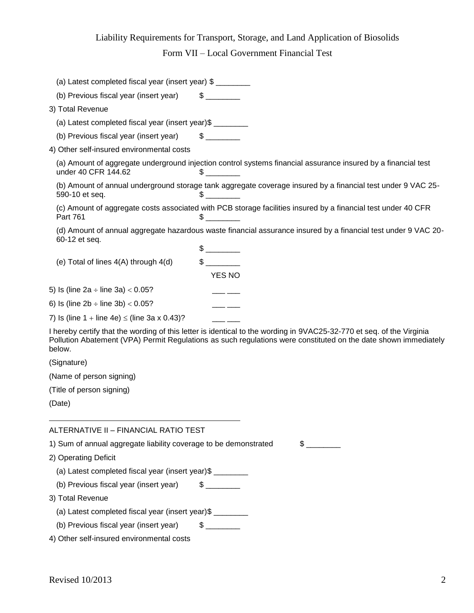# Liability Requirements for Transport, Storage, and Land Application of Biosolids

Form VII – Local Government Financial Test

| (a) Latest completed fiscal year (insert year) \$     |                                                                                                                                                                                                                                          |
|-------------------------------------------------------|------------------------------------------------------------------------------------------------------------------------------------------------------------------------------------------------------------------------------------------|
| (b) Previous fiscal year (insert year)                | $\sim$                                                                                                                                                                                                                                   |
| 3) Total Revenue                                      |                                                                                                                                                                                                                                          |
| (a) Latest completed fiscal year (insert year)\$      |                                                                                                                                                                                                                                          |
| (b) Previous fiscal year (insert year)                | $\mathbb{S}$                                                                                                                                                                                                                             |
| 4) Other self-insured environmental costs             |                                                                                                                                                                                                                                          |
| under 40 CFR 144.62                                   | (a) Amount of aggregate underground injection control systems financial assurance insured by a financial test<br>$\sim$                                                                                                                  |
| 590-10 et seq.                                        | (b) Amount of annual underground storage tank aggregate coverage insured by a financial test under 9 VAC 25-                                                                                                                             |
| Part 761                                              | (c) Amount of aggregate costs associated with PCB storage facilities insured by a financial test under 40 CFR<br>$\sim$                                                                                                                  |
| 60-12 et seq.                                         | (d) Amount of annual aggregate hazardous waste financial assurance insured by a financial test under 9 VAC 20-                                                                                                                           |
|                                                       |                                                                                                                                                                                                                                          |
| (e) Total of lines $4(A)$ through $4(d)$              | $\mathfrak s$                                                                                                                                                                                                                            |
|                                                       | <b>YES NO</b>                                                                                                                                                                                                                            |
| 5) Is (line $2a \div$ line $3a$ ) < 0.05?             |                                                                                                                                                                                                                                          |
| 6) Is (line $2b \div$ line $3b$ ) < 0.05?             |                                                                                                                                                                                                                                          |
| 7) Is (line $1 +$ line $4e$ ) $\le$ (line 3a x 0.43)? |                                                                                                                                                                                                                                          |
| below.                                                | I hereby certify that the wording of this letter is identical to the wording in 9VAC25-32-770 et seq. of the Virginia<br>Pollution Abatement (VPA) Permit Regulations as such regulations were constituted on the date shown immediately |
| $\mathbf{a}$                                          |                                                                                                                                                                                                                                          |

(Signature)

(Name of person signing)

(Title of person signing)

(Date)

## ALTERNATIVE II – FINANCIAL RATIO TEST

1) Sum of annual aggregate liability coverage to be demonstrated  $$$ 

2) Operating Deficit

(a) Latest completed fiscal year (insert year)\$ \_\_\_\_\_\_\_\_

- (b) Previous fiscal year (insert year)  $\qquad$  \$
- 3) Total Revenue

(a) Latest completed fiscal year (insert year)\$ \_\_\_\_\_\_\_\_

- (b) Previous fiscal year (insert year)  $$$   $$$
- 4) Other self-insured environmental costs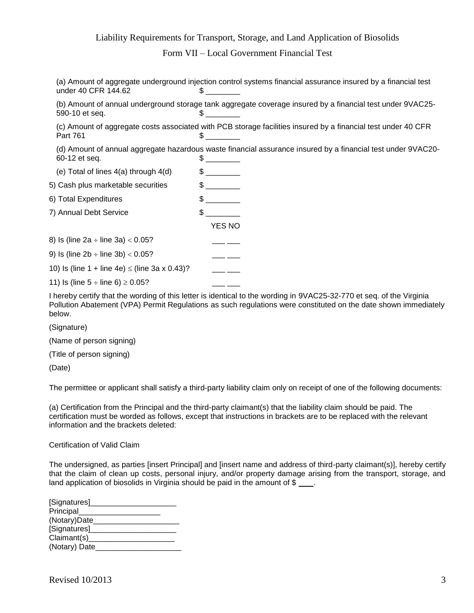### Liability Requirements for Transport, Storage, and Land Application of Biosolids

Form VII – Local Government Financial Test

(a) Amount of aggregate underground injection control systems financial assurance insured by a financial test under 40 CFR 144.62 \$

(b) Amount of annual underground storage tank aggregate coverage insured by a financial test under 9VAC25-  $590-10$  et seq.  $$$ 

(c) Amount of aggregate costs associated with PCB storage facilities insured by a financial test under 40 CFR Part 761 \$

(d) Amount of annual aggregate hazardous waste financial assurance insured by a financial test under 9VAC20-  $60-12$  et seq.  $\qquad \qquad$ 

YES NO

(e) Total of lines  $4(a)$  through  $4(d)$  \$

5) Cash plus marketable securities  $\frac{1}{2}$ 

6) Total Expenditures  $\text{S}$  \_\_\_\_\_\_\_\_

7) Annual Debt Service **\$** 2011

8) Is (line 2a  $\div$  line 3a)  $<$  0.05?

9) Is (line  $2b \div$  line  $3b$ )  $<$  0.05?

10) Is (line 1 + line 4e)  $\le$  (line 3a x 0.43)? \_\_\_ \_

11) Is (line  $5 \div$  line 6)  $\ge 0.05$ ?

I hereby certify that the wording of this letter is identical to the wording in 9VAC25-32-770 et seq. of the Virginia Pollution Abatement (VPA) Permit Regulations as such regulations were constituted on the date shown immediately below.

(Signature)

(Name of person signing)

(Title of person signing)

(Date)

The permittee or applicant shall satisfy a third-party liability claim only on receipt of one of the following documents:

(a) Certification from the Principal and the third-party claimant(s) that the liability claim should be paid. The certification must be worded as follows, except that instructions in brackets are to be replaced with the relevant information and the brackets deleted:

Certification of Valid Claim

The undersigned, as parties [insert Principal] and [insert name and address of third-party claimant(s)], hereby certify that the claim of clean up costs, personal injury, and/or property damage arising from the transport, storage, and land application of biosolids in Virginia should be paid in the amount of \$

| [Signatures]_ |  |
|---------------|--|
| Principal     |  |
| (Notary)Date  |  |
| [Signatures]_ |  |
| Claimant(s)   |  |
| (Notary) Date |  |